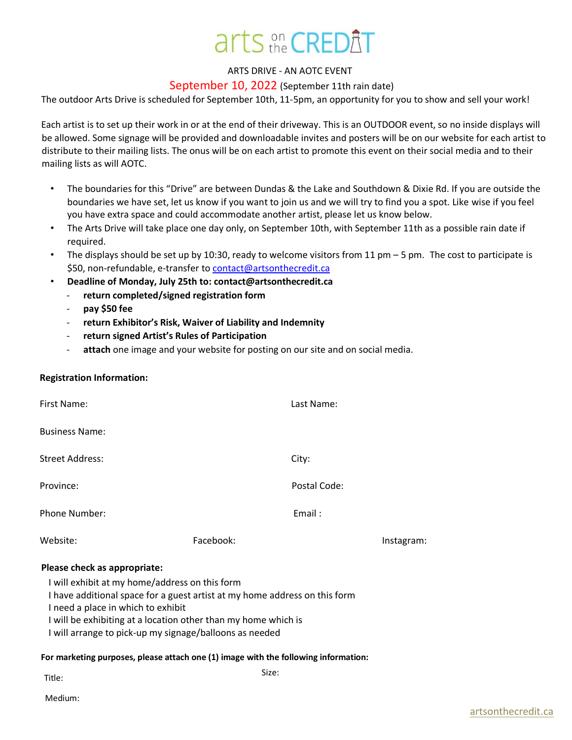# arts on CREDAT

### ARTS DRIVE - AN AOTC EVENT

## September 10, 2022 (September 11th rain date)

The outdoor Arts Drive is scheduled for September 10th, 11-5pm, an opportunity for you to show and sell your work!

Each artist is to set up their work in or at the end of their driveway. This is an OUTDOOR event, so no inside displays will be allowed. Some signage will be provided and downloadable invites and posters will be on our website for each artist to distribute to their mailing lists. The onus will be on each artist to promote this event on their social media and to their mailing lists as will AOTC.

- The boundaries for this "Drive" are between Dundas & the Lake and Southdown & Dixie Rd. If you are outside the boundaries we have set, let us know if you want to join us and we will try to find you a spot. Like wise if you feel you have extra space and could accommodate another artist, please let us know below.
- The Arts Drive will take place one day only, on September 10th, with September 11th as a possible rain date if required.
- The displays should be set up by 10:30, ready to welcome visitors from 11  $pm 5$  pm. The cost to participate is \$50, non-refundable, e-transfer to contact@artsonthecredit.ca
- **Deadline of Monday, July 25th to: contact@artsonthecredit.ca**
	- **return completed/signed registration form**
	- **pay \$50 fee**
	- return Exhibitor's Risk, Waiver of Liability and Indemnity
	- **return signed Artist's Rules of Participation**
	- attach one image and your website for posting on our site and on social media.

### **Registration Information:**

| First Name:            |           | Last Name:   |            |
|------------------------|-----------|--------------|------------|
| <b>Business Name:</b>  |           |              |            |
| <b>Street Address:</b> |           | City:        |            |
| Province:              |           | Postal Code: |            |
| Phone Number:          |           | Email:       |            |
| Website:               | Facebook: |              | Instagram: |

### **Please check as appropriate:**

I will exhibit at my home/address on this form

I have additional space for a guest artist at my home address on this form

I need a place in which to exhibit

I will be exhibiting at a location other than my home which is

I will arrange to pick-up my signage/balloons as needed

#### **For marketing purposes, please attach one (1) image with the following information:**

Title: Size: Size: Size: Size: Size: Size: Size: Size: Size: Size: Size: Size: Size: Size: Size: Size: Size: Size: Size: Size: Size: Size: Size: Size: Size: Size: Size: Size: Size: Size: Size: Size: Size: Size: Size: Size: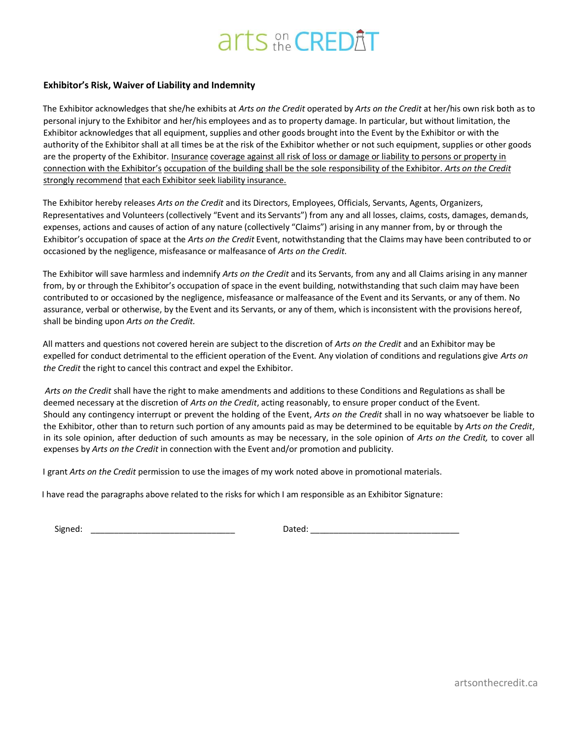# arts on CREDAT

#### **Exhibitor's Risk, Waiver of Liability and Indemnity**

The Exhibitor acknowledges that she/he exhibits at *Arts on the Credit* operated by *Arts on the Credit* at her/his own risk both as to personal injury to the Exhibitor and her/his employees and as to property damage. In particular, but without limitation, the Exhibitor acknowledges that all equipment, supplies and other goods brought into the Event by the Exhibitor or with the authority of the Exhibitor shall at all times be at the risk of the Exhibitor whether or not such equipment, supplies or other goods are the property of the Exhibitor. Insurance coverage against all risk of loss or damage or liability to persons or property in connection with the Exhibitor's occupation of the building shall be the sole responsibility of the Exhibitor. *Arts on the Credit* strongly recommend that each Exhibitor seek liability insurance.

The Exhibitor hereby releases *Arts on the Credit* and its Directors, Employees, Officials, Servants, Agents, Organizers, Representatives and Volunteers (collectively "Event and its Servants") from any and all losses, claims, costs, damages, demands, expenses, actions and causes of action of any nature (collectively "Claims") arising in any manner from, by or through the Exhibitor's occupation of space at the *Arts on the Credit* Event, notwithstanding that the Claims may have been contributed to or occasioned by the negligence, misfeasance or malfeasance of *Arts on the Credit*.

The Exhibitor will save harmless and indemnify *Arts on the Credit* and its Servants, from any and all Claims arising in any manner from, by or through the Exhibitor's occupation of space in the event building, notwithstanding that such claim may have been contributed to or occasioned by the negligence, misfeasance or malfeasance of the Event and its Servants, or any of them. No assurance, verbal or otherwise, by the Event and its Servants, or any of them, which is inconsistent with the provisions hereof, shall be binding upon *Arts on the Credit.* 

All matters and questions not covered herein are subject to the discretion of *Arts on the Credit* and an Exhibitor may be expelled for conduct detrimental to the efficient operation of the Event. Any violation of conditions and regulations give *Arts on the Credit* the right to cancel this contract and expel the Exhibitor.

*Arts on the Credit* shall have the right to make amendments and additions to these Conditions and Regulations as shall be deemed necessary at the discretion of *Arts on the Credit*, acting reasonably, to ensure proper conduct of the Event. Should any contingency interrupt or prevent the holding of the Event, *Arts on the Credit* shall in no way whatsoever be liable to the Exhibitor, other than to return such portion of any amounts paid as may be determined to be equitable by *Arts on the Credit*, in its sole opinion, after deduction of such amounts as may be necessary, in the sole opinion of *Arts on the Credit,* to cover all expenses by *Arts on the Credit* in connection with the Event and/or promotion and publicity.

I grant *Arts on the Credit* permission to use the images of my work noted above in promotional materials.

I have read the paragraphs above related to the risks for which I am responsible as an Exhibitor Signature:

Signed: \_\_\_\_\_\_\_\_\_\_\_\_\_\_\_\_\_\_\_\_\_\_\_\_\_\_\_\_\_\_\_ Dated: \_\_\_\_\_\_\_\_\_\_\_\_\_\_\_\_\_\_\_\_\_\_\_\_\_\_\_\_\_\_\_\_

[artsonthecredit.ca](http://www.artsonthecredit.ca/)